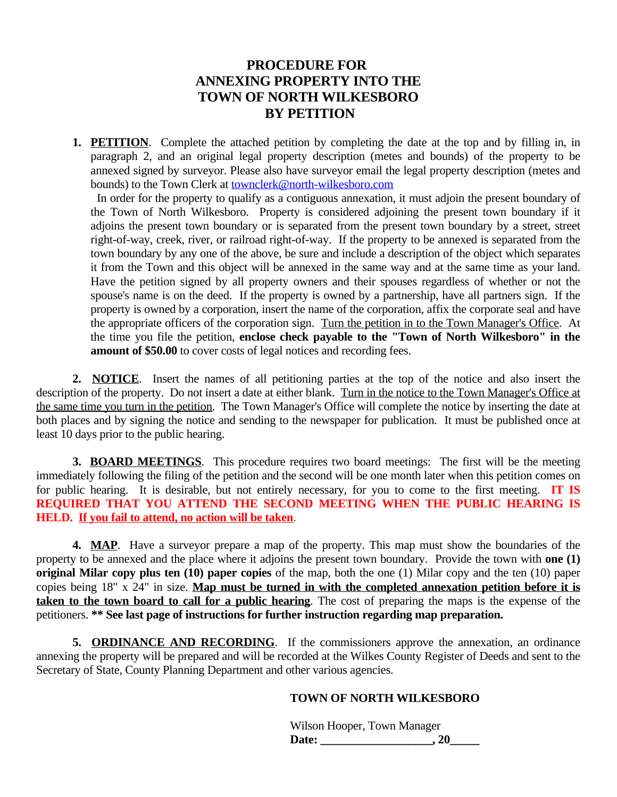# **PROCEDURE FOR ANNEXING PROPERTY INTO THE TOWN OF NORTH WILKESBORO BY PETITION**

**1. PETITION**. Complete the attached petition by completing the date at the top and by filling in, in paragraph 2, and an original legal property description (metes and bounds) of the property to be annexed signed by surveyor. Please also have surveyor email the legal property description (metes and bounds) to the Town Clerk at [townclerk@north-wilkesboro.com](mailto:townclerk@north-wilkesboro.com)

In order for the [property](mailto:townclerk@north-wilkesboro.com) to qualify as a [contiguous](mailto:townclerk@north-wilkesboro.com) annexation, it must adjoin the present [boundary](mailto:townclerk@north-wilkesboro.com) of the Town of North [Wilkesboro.](mailto:townclerk@north-wilkesboro.com) Property is considered adjoining the present town boundary if it adjoins the present town [boundary](mailto:townclerk@north-wilkesboro.com) or is separated from the present town [boundary](mailto:townclerk@north-wilkesboro.com) by a street, street right-of-way, creek, river, or railroad [right-of-way.](mailto:townclerk@north-wilkesboro.com) If the property to be annexed is separated from the town boundary by any one of the above, be sure and include a [description](mailto:townclerk@north-wilkesboro.com) of the object which separates [i](mailto:townclerk@north-wilkesboro.com)t from the Town and this object will be [annexed](mailto:townclerk@north-wilkesboro.com) in the same way and at the same time as your land. Have the petition signed by all property owners and their spouses [regardless](mailto:townclerk@north-wilkesboro.com) of whether or not the spouse's name is on the deed. If the [property](mailto:townclerk@north-wilkesboro.com) is owned by a [partnership,](mailto:townclerk@north-wilkesboro.com) have all partners sign. If the property is owned by a [corporation,](mailto:townclerk@north-wilkesboro.com) insert the name of the corporation, affix the corporate seal and have the appropriate officers of the [corporation](mailto:townclerk@north-wilkesboro.com) sign. [Turn the petition in to the Town Manager's Office.](mailto:townclerk@north-wilkesboro.com) [At](mailto:townclerk@north-wilkesboro.com) the time you file the [petition,](mailto:townclerk@north-wilkesboro.com) **enclose check payable to the "Town of North [Wilkesboro"](mailto:townclerk@north-wilkesboro.com) in the [amount](mailto:townclerk@north-wilkesboro.com) of \$50.00** to cover costs of legal notices and [recording](mailto:townclerk@north-wilkesboro.com) fees.

**[2.](mailto:townclerk@north-wilkesboro.com) [NOTICE](mailto:townclerk@north-wilkesboro.com)**. Insert the names of all [petitioning](mailto:townclerk@north-wilkesboro.com) parties at the top of the notice and also [insert](mailto:townclerk@north-wilkesboro.com) the [description](mailto:townclerk@north-wilkesboro.com) of the property. Do not insert a date at either blank. Turn in the notice to the Town [Manager's](mailto:townclerk@north-wilkesboro.com) Office at the same time you turn in the [petition.](mailto:townclerk@north-wilkesboro.com) The Town [Manager's](mailto:townclerk@north-wilkesboro.com) Office will complete the notice by inserting the date at [bot](mailto:townclerk@north-wilkesboro.com)h places and by [signing](mailto:townclerk@north-wilkesboro.com) the notice and [sending](mailto:townclerk@north-wilkesboro.com) to the newspaper for [publication.](mailto:townclerk@north-wilkesboro.com) It must be published once at least 10 days prior to the public [hearing.](mailto:townclerk@north-wilkesboro.com)

**[3.](mailto:townclerk@north-wilkesboro.com) [BOARD MEETINGS](mailto:townclerk@north-wilkesboro.com)**. This [procedure](mailto:townclerk@north-wilkesboro.com) requires two board meetings: The first will be the meeting [imme](mailto:townclerk@north-wilkesboro.com)diately [following](mailto:townclerk@north-wilkesboro.com) the filing of the petition and the second will be one month later when this petition comes on for public hearing. It is desirable, but not entirely [necessary,](mailto:townclerk@north-wilkesboro.com) for you to come to the first meeting. **[IT](mailto:townclerk@north-wilkesboro.com) IS [REQUIRED](mailto:townclerk@north-wilkesboro.com) THAT YOU ATTEND THE SECOND [MEETING](mailto:townclerk@north-wilkesboro.com) WHEN THE PUBLIC HEARING IS [HELD.](mailto:townclerk@north-wilkesboro.com) If you fail to [attend,](mailto:townclerk@north-wilkesboro.com) no action will be taken**[.](mailto:townclerk@north-wilkesboro.com)

**[4.](mailto:townclerk@north-wilkesboro.com) [MAP](mailto:townclerk@north-wilkesboro.com)**. Have a [surveyor](mailto:townclerk@north-wilkesboro.com) prepare a map of the propert[y.](mailto:townclerk@north-wilkesboro.com) This map must show the [boundaries](mailto:townclerk@north-wilkesboro.com) of the [property](mailto:townclerk@north-wilkesboro.com) to be annexed and the place where it adjoins the present town [boundary.](mailto:townclerk@north-wilkesboro.com) Provide the town with **[one](mailto:townclerk@north-wilkesboro.com) (1) [original](mailto:townclerk@north-wilkesboro.com) [Milar](mailto:townclerk@north-wilkesboro.com) copy plus ten ([1](mailto:townclerk@north-wilkesboro.com)0) paper [copies](mailto:townclerk@north-wilkesboro.com)** of the [map,](mailto:townclerk@north-wilkesboro.com) both the one (1) [Milar](mailto:townclerk@north-wilkesboro.com) copy and the ten (10) [paper](mailto:townclerk@north-wilkesboro.com) [copies](mailto:townclerk@north-wilkesboro.com) being 18" x 24" in size. **[Map must be turned in with the completed annexation petition before it is](mailto:townclerk@north-wilkesboro.com) [taken to the town board to call for a public hearing](mailto:townclerk@north-wilkesboro.com)**[.](mailto:townclerk@north-wilkesboro.com) The cost of [preparing](mailto:townclerk@north-wilkesboro.com) the maps is the expense of the [petitioners.](mailto:townclerk@north-wilkesboro.com) **[\\*](mailto:townclerk@north-wilkesboro.com)\* See last page of [instructions](mailto:townclerk@north-wilkesboro.com) for further instruction regarding map [preparation.](mailto:townclerk@north-wilkesboro.com)**

**[5.](mailto:townclerk@north-wilkesboro.com) [ORDINANCE AND RECORDING](mailto:townclerk@north-wilkesboro.com)**. If [the](mailto:townclerk@north-wilkesboro.com) [commissioners](mailto:townclerk@north-wilkesboro.com) approve the annexation, an [ordinance](mailto:townclerk@north-wilkesboro.com) [annexing](mailto:townclerk@north-wilkesboro.com) the property will be prepared and [will](mailto:townclerk@north-wilkesboro.com) [be](mailto:townclerk@north-wilkesboro.com) [recorded](mailto:townclerk@north-wilkesboro.com) at the Wilkes County [Register](mailto:townclerk@north-wilkesboro.com) of Deeds and [sent](mailto:townclerk@north-wilkesboro.com) to the Secretary of State, County Planning [Department](mailto:townclerk@north-wilkesboro.com) and other various agencies.

### **[TOWN](mailto:townclerk@north-wilkesboro.com) OF NORTH [WILKESBORO](mailto:townclerk@north-wilkesboro.com)**

[W](mailto:townclerk@north-wilkesboro.com)ilson [Hooper,](mailto:townclerk@north-wilkesboro.com) Town [Manager](mailto:townclerk@north-wilkesboro.com) **[Da](mailto:townclerk@north-wilkesboro.com)te: [\\_\\_\\_\\_\\_\\_\\_\\_\\_\\_\\_\\_\\_\\_\\_\\_\\_\\_\\_,](mailto:townclerk@north-wilkesboro.com) [20\\_\\_\\_\\_\\_](mailto:townclerk@north-wilkesboro.com)**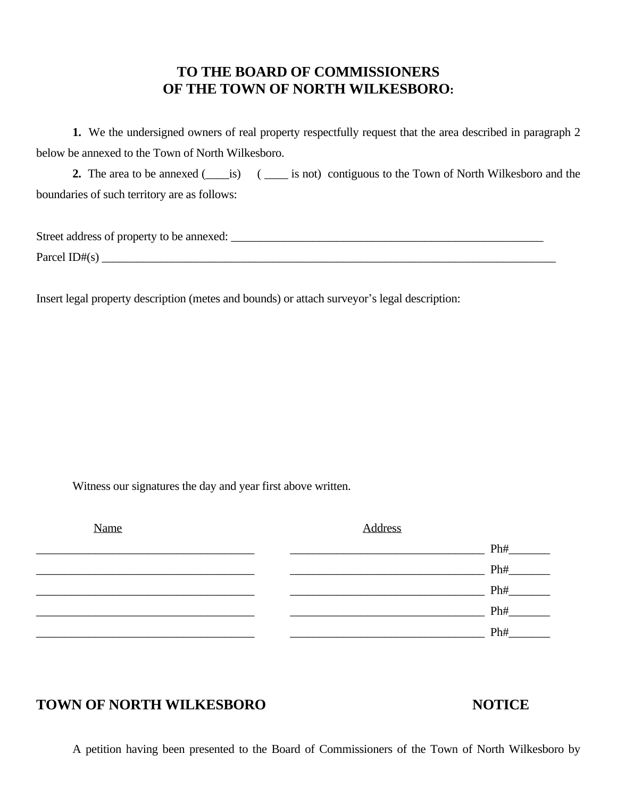# **TO THE BOARD OF COMMISSIONERS OF THE TOWN OF NORTH WILKESBORO:**

**1.** We the undersigned owners of real property respectfully request that the area described in paragraph 2 below be annexed to the Town of North Wilkesboro.

**2.** The area to be annexed (iis) (ii) is not) contiguous to the Town of North Wilkesboro and the boundaries of such territory are as follows:

| Street address of property to be annexed: |  |
|-------------------------------------------|--|
| Parcel ID# $(s)$                          |  |

Insert legal property description (metes and bounds) or attach surveyor's legal description:

Witness our signatures the day and year first above written.

| Name | <b>Address</b> |     |
|------|----------------|-----|
|      |                | Ph# |
|      |                | Ph# |
|      |                | Ph# |
|      |                | Ph# |
|      |                | Ph# |

# **TOWN OF NORTH WILKESBORO NOTICE**

A petition having been presented to the Board of Commissioners of the Town of North Wilkesboro by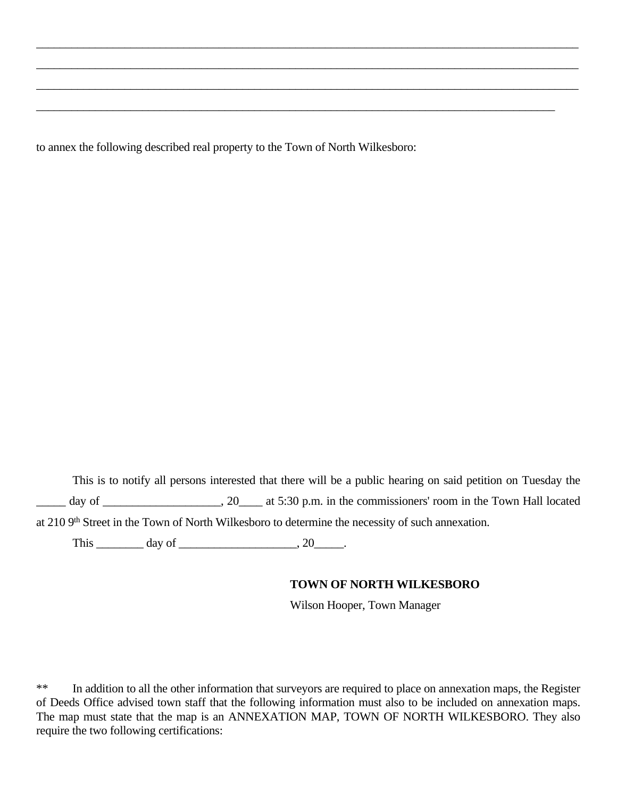to annex the following described real property to the Town of North Wilkesboro:

This is to notify all persons interested that there will be a public hearing on said petition on Tuesday the day of \_\_\_\_\_\_\_\_\_\_\_\_\_\_\_\_\_\_, 20\_\_\_\_\_ at 5:30 p.m. in the commissioners' room in the Town Hall located at 210 9<sup>th</sup> Street in the Town of North Wilkesboro to determine the necessity of such annexation.

 $\_$  , and the set of the set of the set of the set of the set of the set of the set of the set of the set of the set of the set of the set of the set of the set of the set of the set of the set of the set of the set of th

 $\_$  ,  $\_$  ,  $\_$  ,  $\_$  ,  $\_$  ,  $\_$  ,  $\_$  ,  $\_$  ,  $\_$  ,  $\_$  ,  $\_$  ,  $\_$  ,  $\_$  ,  $\_$  ,  $\_$  ,  $\_$  ,  $\_$  ,  $\_$  ,  $\_$  ,  $\_$  ,  $\_$  ,  $\_$  ,  $\_$  ,  $\_$  ,  $\_$  ,  $\_$  ,  $\_$  ,  $\_$  ,  $\_$  ,  $\_$  ,  $\_$  ,  $\_$  ,  $\_$  ,  $\_$  ,  $\_$  ,  $\_$  ,  $\_$  ,

 $\_$  ,  $\_$  ,  $\_$  ,  $\_$  ,  $\_$  ,  $\_$  ,  $\_$  ,  $\_$  ,  $\_$  ,  $\_$  ,  $\_$  ,  $\_$  ,  $\_$  ,  $\_$  ,  $\_$  ,  $\_$  ,  $\_$  ,  $\_$  ,  $\_$  ,  $\_$  ,  $\_$  ,  $\_$  ,  $\_$  ,  $\_$  ,  $\_$  ,  $\_$  ,  $\_$  ,  $\_$  ,  $\_$  ,  $\_$  ,  $\_$  ,  $\_$  ,  $\_$  ,  $\_$  ,  $\_$  ,  $\_$  ,  $\_$  ,

 $\_$  , and the set of the set of the set of the set of the set of the set of the set of the set of the set of the set of the set of the set of the set of the set of the set of the set of the set of the set of the set of th

This  $\_\_\_\_\_\_\_\_\_\_\_\_\_\_\_\_\_\_\_\_\_\.\_20\_\_\_\_\.\_$ 

### **TOWN OF NORTH WILKESBORO**

Wilson Hooper, Town Manager

\*\* In addition to all the other information that surveyors are required to place on annexation maps, the Register of Deeds Office advised town staff that the following information must also to be included on annexation maps. The map must state that the map is an ANNEXATION MAP, TOWN OF NORTH WILKESBORO. They also require the two following certifications: